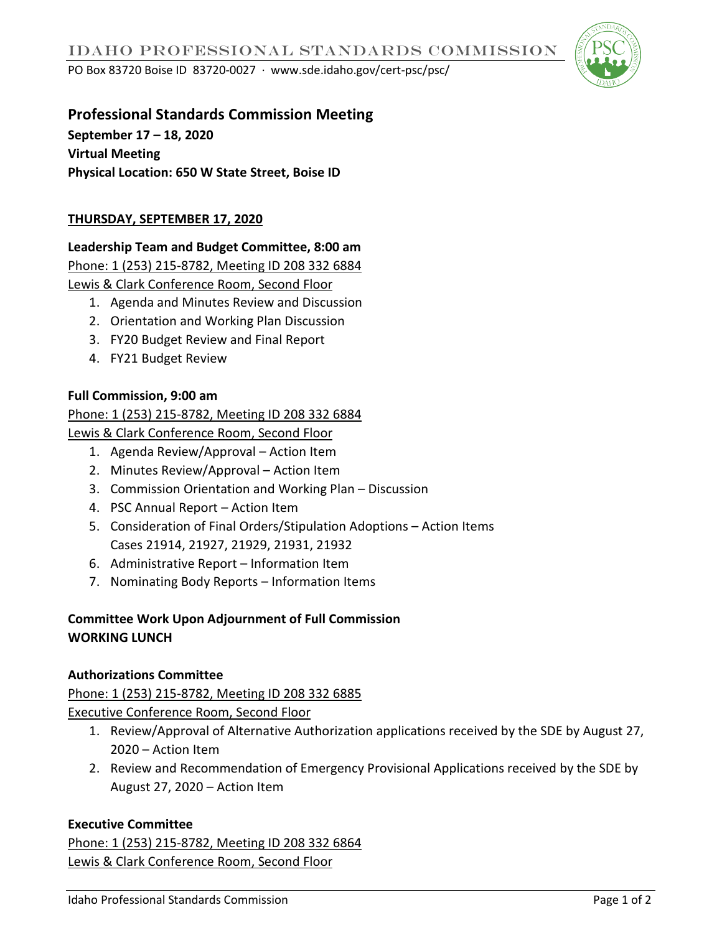PO Box 83720 Boise ID 83720-0027 ∙ www.sde.idaho.gov/cert-psc/psc/



# **Professional Standards Commission Meeting**

**September 17 – 18, 2020 Virtual Meeting Physical Location: 650 W State Street, Boise ID**

## **THURSDAY, SEPTEMBER 17, 2020**

# **Leadership Team and Budget Committee, 8:00 am**

Phone: 1 (253) 215-8782, Meeting ID 208 332 6884

Lewis & Clark Conference Room, Second Floor

- 1. Agenda and Minutes Review and Discussion
- 2. Orientation and Working Plan Discussion
- 3. FY20 Budget Review and Final Report
- 4. FY21 Budget Review

#### **Full Commission, 9:00 am**

## Phone: 1 (253) 215-8782, Meeting ID 208 332 6884

Lewis & Clark Conference Room, Second Floor

- 1. Agenda Review/Approval Action Item
- 2. Minutes Review/Approval Action Item
- 3. Commission Orientation and Working Plan Discussion
- 4. PSC Annual Report Action Item
- 5. Consideration of Final Orders/Stipulation Adoptions Action Items Cases 21914, 21927, 21929, 21931, 21932
- 6. Administrative Report Information Item
- 7. Nominating Body Reports Information Items

## **Committee Work Upon Adjournment of Full Commission WORKING LUNCH**

#### **Authorizations Committee**

Phone: 1 (253) 215-8782, Meeting ID 208 332 6885

Executive Conference Room, Second Floor

- 1. Review/Approval of Alternative Authorization applications received by the SDE by August 27, 2020 – Action Item
- 2. Review and Recommendation of Emergency Provisional Applications received by the SDE by August 27, 2020 – Action Item

#### **Executive Committee**

Phone: 1 (253) 215-8782, Meeting ID 208 332 6864 Lewis & Clark Conference Room, Second Floor